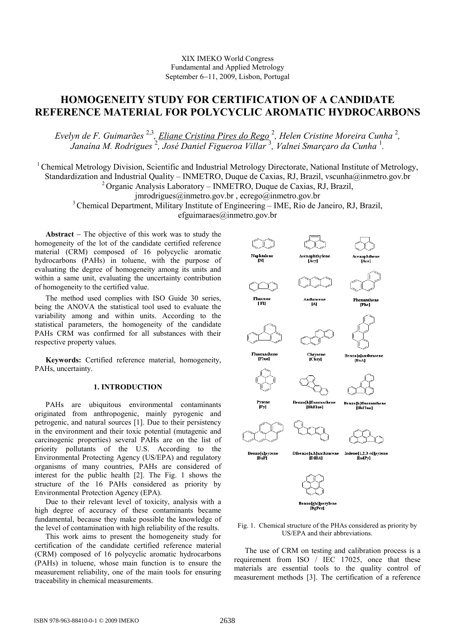# XIX IMEKO World Congress Fundamental and Applied Metrology September 6−11, 2009, Lisbon, Portugal

# HOMOGENEITY STUDY FOR CERTIFICATION OF A CANDIDATE REFERENCE MATERIAL FOR POLYCYCLIC AROMATIC HYDROCARBONS

Evelyn de F. Guimarães <sup>2,3</sup>, <u>Eliane Cristina Pires do Rego</u> <sup>2</sup>, Helen Cristine Moreira Cunha <sup>2</sup>, Janaína M. Rodrigues  $^2$ , José Daniel Figueroa Villar  $^3$ , Valnei Smarçaro da Cunha  $^1$ .

<sup>1</sup> Chemical Metrology Division, Scientific and Industrial Metrology Directorate, National Institute of Metrology, Standardization and Industrial Quality – INMETRO, Duque de Caxias, RJ, Brazil, vscunha@inmetro.gov.br  $^{2}$ Organic Analysis Laboratory – INMETRO, Duque de Caxias, RJ, Brazil, jmrodrigues@inmetro.gov.br , ecrego@inmetro.gov.br <sup>3</sup> Chemical Department, Military Institute of Engineering – IME, Rio de Janeiro, RJ, Brazil, efguimaraes@inmetro.gov.br

Abstract − The objective of this work was to study the homogeneity of the lot of the candidate certified reference material (CRM) composed of 16 polycyclic aromatic hydrocarbons (PAHs) in toluene, with the purpose of evaluating the degree of homogeneity among its units and within a same unit, evaluating the uncertainty contribution of homogeneity to the certified value.

The method used complies with ISO Guide 30 series, being the ANOVA the statistical tool used to evaluate the variability among and within units. According to the statistical parameters, the homogeneity of the candidate PAHs CRM was confirmed for all substances with their respective property values.

Keywords: Certified reference material, homogeneity, PAHs, uncertainty.

### 1. INTRODUCTION

PAHs are ubiquitous environmental contaminants originated from anthropogenic, mainly pyrogenic and petrogenic, and natural sources [1]. Due to their persistency in the environment and their toxic potential (mutagenic and carcinogenic properties) several PAHs are on the list of priority pollutants of the U.S. According to the Environmental Protecting Agency (US/EPA) and regulatory organisms of many countries, PAHs are considered of interest for the public health [2]. The Fig. 1 shows the structure of the 16 PAHs considered as priority by Environmental Protection Agency (EPA).

Due to their relevant level of toxicity, analysis with a high degree of accuracy of these contaminants became fundamental, because they make possible the knowledge of the level of contamination with high reliability of the results.

This work aims to present the homogeneity study for certification of the candidate certified reference material (CRM) composed of 16 polycyclic aromatic hydrocarbons (PAHs) in toluene, whose main function is to ensure the measurement reliability, one of the main tools for ensuring traceability in chemical measurements.



Fig. 1. Chemical structure of the PHAs considered as priority by US/EPA and their abbreviations.

The use of CRM on testing and calibration process is a requirement from ISO / IEC 17025, once that these materials are essential tools to the quality control of measurement methods [3]. The certification of a reference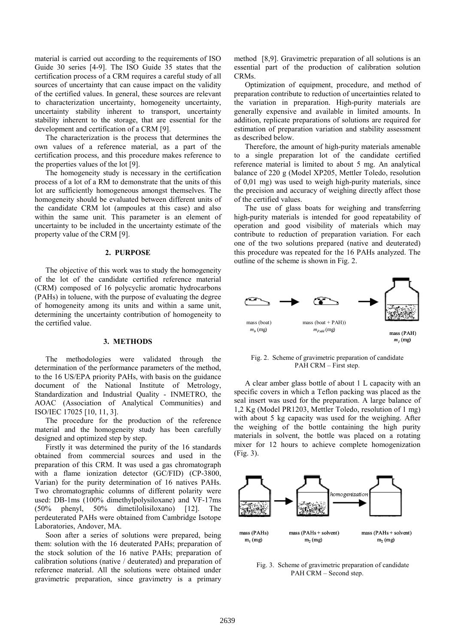material is carried out according to the requirements of ISO Guide 30 series [4-9]. The ISO Guide 35 states that the certification process of a CRM requires a careful study of all sources of uncertainty that can cause impact on the validity of the certified values. In general, these sources are relevant to characterization uncertainty, homogeneity uncertainty, uncertainty stability inherent to transport, uncertainty stability inherent to the storage, that are essential for the development and certification of a CRM [9].

The characterization is the process that determines the own values of a reference material, as a part of the certification process, and this procedure makes reference to the properties values of the lot [9].

The homogeneity study is necessary in the certification process of a lot of a RM to demonstrate that the units of this lot are sufficiently homogeneous amongst themselves. The homogeneity should be evaluated between different units of the candidate CRM lot (ampoules at this case) and also within the same unit. This parameter is an element of uncertainty to be included in the uncertainty estimate of the property value of the CRM [9].

#### 2. PURPOSE

The objective of this work was to study the homogeneity of the lot of the candidate certified reference material (CRM) composed of 16 polycyclic aromatic hydrocarbons (PAHs) in toluene, with the purpose of evaluating the degree of homogeneity among its units and within a same unit, determining the uncertainty contribution of homogeneity to the certified value.

#### 3. METHODS

The methodologies were validated through the determination of the performance parameters of the method, to the 16 US/EPA priority PAHs, with basis on the guidance document of the National Institute of Metrology, Standardization and Industrial Quality - INMETRO, the AOAC (Association of Analytical Communities) and ISO/IEC 17025 [10, 11, 3].

The procedure for the production of the reference material and the homogeneity study has been carefully designed and optimized step by step.

Firstly it was determined the purity of the 16 standards obtained from commercial sources and used in the preparation of this CRM. It was used a gas chromatograph with a flame ionization detector (GC/FID) (CP-3800, Varian) for the purity determination of 16 natives PAHs. Two chromatographic columns of different polarity were used: DB-1ms (100% dimethylpolysiloxane) and VF-17ms (50% phenyl, 50% dimetilolisiloxano) [12]. The perdeuterated PAHs were obtained from Cambridge Isotope Laboratories, Andover, MA.

Soon after a series of solutions were prepared, being them: solution with the 16 deuterated PAHs; preparation of the stock solution of the 16 native PAHs; preparation of calibration solutions (native / deuterated) and preparation of reference material. All the solutions were obtained under gravimetric preparation, since gravimetry is a primary

method [8,9]. Gravimetric preparation of all solutions is an essential part of the production of calibration solution CRMs.

Optimization of equipment, procedure, and method of preparation contribute to reduction of uncertainties related to the variation in preparation. High-purity materials are generally expensive and available in limited amounts. In addition, replicate preparations of solutions are required for estimation of preparation variation and stability assessment as described below.

Therefore, the amount of high-purity materials amenable to a single preparation lot of the candidate certified reference material is limited to about 5 mg. An analytical balance of 220 g (Model XP205, Mettler Toledo, resolution of 0,01 mg) was used to weigh high-purity materials, since the precision and accuracy of weighing directly affect those of the certified values.

The use of glass boats for weighing and transferring high-purity materials is intended for good repeatability of operation and good visibility of materials which may contribute to reduction of preparation variation. For each one of the two solutions prepared (native and deuterated) this procedure was repeated for the 16 PAHs analyzed. The outline of the scheme is shown in Fig. 2.



Fig. 2. Scheme of gravimetric preparation of candidate PAH CRM – First step.

A clear amber glass bottle of about 1 L capacity with an specific covers in which a Teflon packing was placed as the seal insert was used for the preparation. A large balance of 1,2 Kg (Model PR1203, Mettler Toledo, resolution of 1 mg) with about 5 kg capacity was used for the weighing. After the weighing of the bottle containing the high purity materials in solvent, the bottle was placed on a rotating mixer for 12 hours to achieve complete homogenization (Fig. 3).



Fig. 3. Scheme of gravimetric preparation of candidate PAH CRM – Second step.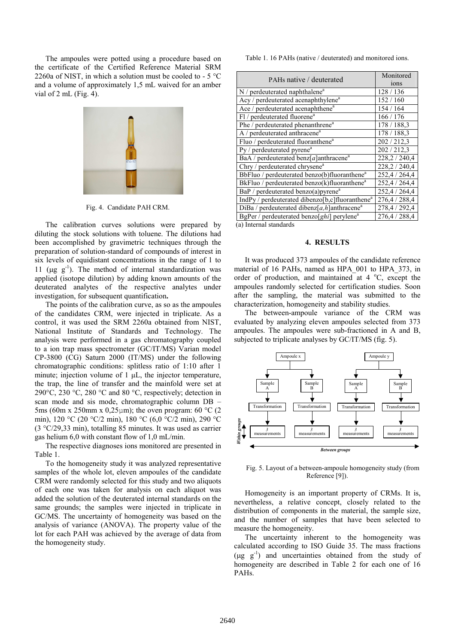The ampoules were potted using a procedure based on the certificate of the Certified Reference Material SRM 2260a of NIST, in which a solution must be cooled to -  $5^{\circ}$ C and a volume of approximately 1,5 mL waived for an amber vial of 2 mL (Fig. 4).



Fig. 4. Candidate PAH CRM.

The calibration curves solutions were prepared by diluting the stock solutions with toluene. The dilutions had been accomplished by gravimetric techniques through the preparation of solution-standard of compounds of interest in six levels of equidistant concentrations in the range of 1 to 11 ( $\mu$ g g<sup>-1</sup>). The method of internal standardization was applied (isotope dilution) by adding known amounts of the deuterated analytes of the respective analytes under investigation, for subsequent quantification.

The points of the calibration curve, as so as the ampoules of the candidates CRM, were injected in triplicate. As a control, it was used the SRM 2260a obtained from NIST, National Institute of Standards and Technology. The analysis were performed in a gas chromatography coupled to a ion trap mass spectrometer (GC/IT/MS) Varian model CP-3800 (CG) Saturn 2000 (IT/MS) under the following chromatographic conditions: splitless ratio of 1:10 after 1 minute; injection volume of  $1 \mu L$ , the injector temperature, the trap, the line of transfer and the mainfold were set at 290 $\degree$ C, 230  $\degree$ C, 280  $\degree$ C and 80  $\degree$ C, respectively; detection in scan mode and sis mode, chromatographic column DB – 5ms (60m x 250mm x 0,25 $\mu$ m); the oven program: 60 °C (2) min), 120 °C (20 °C/2 min), 180 °C (6,0 °C/2 min), 290 °C (3 °C/29,33 min), totalling 85 minutes. It was used as carrier gas helium 6,0 with constant flow of 1,0 mL/min.

The respective diagnoses ions monitored are presented in Table 1.

To the homogeneity study it was analyzed representative samples of the whole lot, eleven ampoules of the candidate CRM were randomly selected for this study and two aliquots of each one was taken for analysis on each aliquot was added the solution of the deuterated internal standards on the same grounds; the samples were injected in triplicate in GC/MS. The uncertainty of homogeneity was based on the analysis of variance (ANOVA). The property value of the lot for each PAH was achieved by the average of data from the homogeneity study.

Table 1. 16 PAHs (native / deuterated) and monitored ions.

| PAHs native / deuterated                                     | Monitored<br>ions |
|--------------------------------------------------------------|-------------------|
| $N/$ perdeuterated naphthalene <sup>a</sup>                  | 128 / 136         |
| Acy / perdeuterated acenaphthylene <sup>a</sup>              | 152 / 160         |
| Ace / perdeuterated acenaphthene <sup>a</sup>                | 154 / 164         |
| Fl / perdeuterated fluorene <sup>a</sup>                     | 166/176           |
| Phe / perdeuterated phenanthrene <sup>a</sup>                | 178 / 188.3       |
| A / perdeuterated anthracene <sup>a</sup>                    | 178 / 188.3       |
| Fluo / perdeuterated fluoranthene <sup>a</sup>               | 202 / 212.3       |
| Py / perdeuterated pyrene <sup>a</sup>                       | 202 / 212.3       |
| BaA / perdeuterated benz[a]anthracene <sup>a</sup>           | 228,2 / 240,4     |
| Chry / perdeuterated chrysene <sup>a</sup>                   | 228,2 / 240,4     |
| BbFluo / perdeuterated benzo(b)fluoranthene <sup>a</sup>     | 252,4 / 264,4     |
| BkFluo / perdeuterated benzo(k) fluoranthene <sup>a</sup>    | 252,4 / 264,4     |
| BaP / perdeuterated benzo(a)pyrene <sup>a</sup>              | 252,4 / 264,4     |
| IndPy / perdeuterated dibenzo[b,c]fluoranthene <sup>a</sup>  | 276,4 / 288,4     |
| DiBa / perdeuterated dibenz $[a, h]$ anthracene <sup>a</sup> | 278,4 / 292,4     |
| BgPer / perdeuterated benzo $[ghi]$ perylene <sup>a</sup>    | 276,4 / 288,4     |
| (a) Internal standards                                       |                   |

#### 4. RESULTS

It was produced 373 ampoules of the candidate reference material of 16 PAHs, named as HPA\_001 to HPA\_373, in order of production, and maintained at  $4^{\circ}$ C, except the ampoules randomly selected for certification studies. Soon after the sampling, the material was submitted to the characterization, homogeneity and stability studies.

The between-ampoule variance of the CRM was evaluated by analyzing eleven ampoules selected from 373 ampoules. The ampoules were sub-fractioned in A and B, subjected to triplicate analyses by GC/IT/MS (fig. 5).



Fig. 5. Layout of a between-ampoule homogeneity study (from Reference [9]).

Homogeneity is an important property of CRMs. It is, nevertheless, a relative concept, closely related to the distribution of components in the material, the sample size, and the number of samples that have been selected to measure the homogeneity.

The uncertainty inherent to the homogeneity was calculated according to ISO Guide 35. The mass fractions  $(\mu g g^{-1})$  and uncertainties obtained from the study of homogeneity are described in Table 2 for each one of 16 PAHs.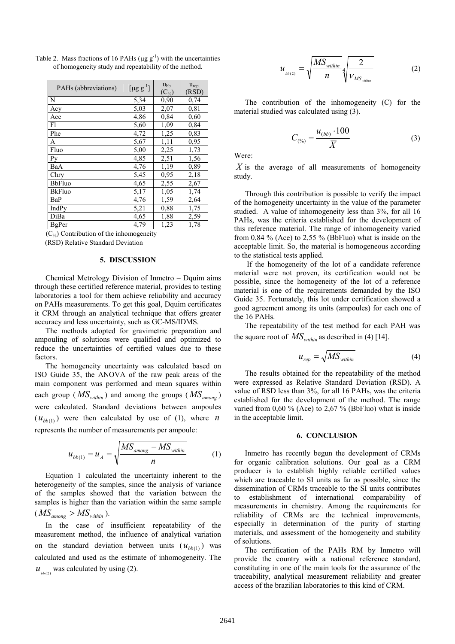| PAHs (abbreviations)              | [ $\mu$ g g <sup>-1</sup> ] | $u_{bb}$<br>$(C_{\%})$ | $u_{rep.}$<br>(RSD) |
|-----------------------------------|-----------------------------|------------------------|---------------------|
| N                                 | 5,34                        | 0,90                   | 0,74                |
| Acy                               | 5,03                        | 2,07                   | 0.81                |
| Ace                               | 4,86                        | 0,84                   | 0,60                |
| F1                                | 5,60                        | 1,09                   | 0,84                |
| Phe                               | 4,72                        | 1,25                   | 0,83                |
| A                                 | 5,67                        | 1,11                   | 0,95                |
| Fluo                              | 5,00                        | 2,25                   | 1,73                |
| Py                                | 4,85                        | 2,51                   | 1,56                |
| BaA                               | 4,76                        | 1,19                   | 0,89                |
| Chry                              | 5,45                        | 0,95                   | 2,18                |
| <b>BbFluo</b>                     | 4,65                        | 2,55                   | 2,67                |
| <b>BkFluo</b>                     | 5,17                        | 1,05                   | 1,74                |
| BaP                               | 4,76                        | 1,59                   | 2,64                |
| IndPy                             | 5,21                        | 0,88                   | 1,75                |
| DiBa                              | 4,65                        | 1,88                   | 2,59                |
| <b>BgPer</b><br>$(0.20 \pm 0.00)$ | 4,79<br>٠.                  | 1,23                   | 1,78                |

Table 2. Mass fractions of 16 PAHs ( $\mu$ g g<sup>-1</sup>) with the uncertainties of homogeneity study and repeatability of the method.

 $(C_{\infty})$  Contribution of the inhomogeneity (RSD) Relative Standard Deviation

#### 5. DISCUSSION

Chemical Metrology Division of Inmetro – Dquim aims through these certified reference material, provides to testing laboratories a tool for them achieve reliability and accuracy on PAHs measurements. To get this goal, Dquim certificates it CRM through an analytical technique that offers greater accuracy and less uncertainty, such as GC-MS/IDMS.

The methods adopted for gravimetric preparation and ampouling of solutions were qualified and optimized to reduce the uncertainties of certified values due to these factors.

The homogeneity uncertainty was calculated based on ISO Guide 35, the ANOVA of the raw peak areas of the main component was performed and mean squares within each group ( $\overline{MS}_{within}$ ) and among the groups ( $\overline{MS}_{among}$ ) were calculated. Standard deviations between ampoules  $(u_{bb(1)})$  were then calculated by use of (1), where *n* represents the number of measurements per ampoule:

$$
u_{bb(1)} = u_A = \sqrt{\frac{MS_{among} - MS_{within}}{n}} \tag{1}
$$

Equation 1 calculated the uncertainty inherent to the heterogeneity of the samples, since the analysis of variance of the samples showed that the variation between the samples is higher than the variation within the same sample  $(MS_{\text{among}} > MS_{\text{within}})$ .

In the case of insufficient repeatability of the measurement method, the influence of analytical variation on the standard deviation between units  $(u_{bb(1)})$  was calculated and used as the estimate of inhomogeneity. The  $u_{b_{{b(2)}}}$  was calculated by using (2).

$$
u_{\scriptscriptstyle{bb(2)}} = \sqrt{\frac{MS_{\scriptscriptstyle{within}}}{n}} \sqrt[4]{\frac{2}{\nu_{\scriptscriptstyle{MS_{within}}}}}
$$
 (2)

The contribution of the inhomogeneity (C) for the material studied was calculated using (3).

$$
C_{\binom{\phi_0}{}} = \frac{u_{(bb)} \cdot 100}{\overline{X}}
$$
 (3)

Were:

 $\overline{X}$  is the average of all measurements of homogeneity study.

Through this contribution is possible to verify the impact of the homogeneity uncertainty in the value of the parameter studied. A value of inhomogeneity less than 3%, for all 16 PAHs, was the criteria established for the development of this reference material. The range of inhomogeneity varied from 0,84 % (Ace) to 2,55 % (BbFluo) what is inside on the acceptable limit. So, the material is homogeneous according to the statistical tests applied.

 If the homogeneity of the lot of a candidate reference material were not proven, its certification would not be possible, since the homogeneity of the lot of a reference material is one of the requirements demanded by the ISO Guide 35. Fortunately, this lot under certification showed a good agreement among its units (ampoules) for each one of the 16 PAHs.

The repeatability of the test method for each PAH was the square root of  $MS_{within}$  as described in (4) [14].

$$
u_{rep} = \sqrt{MS_{within}} \tag{4}
$$

The results obtained for the repeatability of the method were expressed as Relative Standard Deviation (RSD). A value of RSD less than 3%, for all 16 PAHs, was the criteria established for the development of the method. The range varied from  $0.60\%$  (Ace) to  $2.67\%$  (BbFluo) what is inside in the acceptable limit.

#### 6. CONCLUSION

Inmetro has recently begun the development of CRMs for organic calibration solutions. Our goal as a CRM producer is to establish highly reliable certified values which are traceable to SI units as far as possible, since the dissemination of CRMs traceable to the SI units contributes to establishment of international comparability of measurements in chemistry. Among the requirements for reliability of CRMs are the technical improvements, especially in determination of the purity of starting materials, and assessment of the homogeneity and stability of solutions.

The certification of the PAHs RM by Inmetro will provide the country with a national reference standard, constituting in one of the main tools for the assurance of the traceability, analytical measurement reliability and greater access of the brazilian laboratories to this kind of CRM.